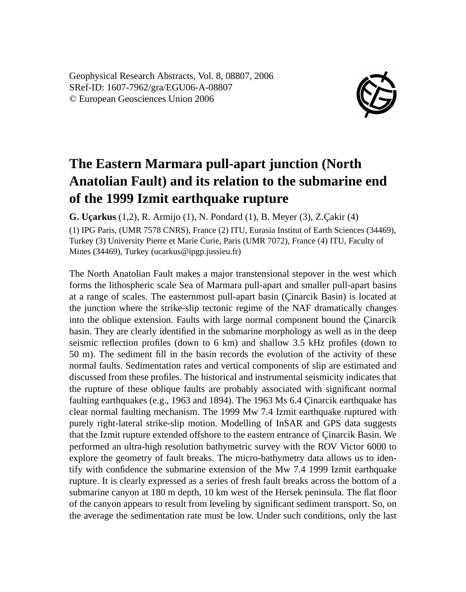Geophysical Research Abstracts, Vol. 8, 08807, 2006 SRef-ID: 1607-7962/gra/EGU06-A-08807 © European Geosciences Union 2006



## **The Eastern Marmara pull-apart junction (North Anatolian Fault) and its relation to the submarine end of the 1999 Izmit earthquake rupture**

**G. Uçarkus** (1,2), R. Armijo (1), N. Pondard (1), B. Meyer (3), Z.Çakir (4) (1) IPG Paris, (UMR 7578 CNRS), France (2) ITU, Eurasia Institut of Earth Sciences (34469),

Turkey (3) University Pierre et Marie Curie, Paris (UMR 7072), France (4) ITU, Faculty of Mines (34469), Turkey (ucarkus@ipgp.jussieu.fr)

The North Anatolian Fault makes a major transtensional stepover in the west which forms the lithospheric scale Sea of Marmara pull-apart and smaller pull-apart basins at a range of scales. The easternmost pull-apart basin (Çinarcik Basin) is located at the junction where the strike-slip tectonic regime of the NAF dramatically changes into the oblique extension. Faults with large normal component bound the Çinarcik basin. They are clearly identified in the submarine morphology as well as in the deep seismic reflection profiles (down to 6 km) and shallow 3.5 kHz profiles (down to 50 m). The sediment fill in the basin records the evolution of the activity of these normal faults. Sedimentation rates and vertical components of slip are estimated and discussed from these profiles. The historical and instrumental seismicity indicates that the rupture of these oblique faults are probably associated with significant normal faulting earthquakes (e.g., 1963 and 1894). The 1963 Ms 6.4 Çinarcik earthquake has clear normal faulting mechanism. The 1999 Mw 7.4 Izmit earthquake ruptured with purely right-lateral strike-slip motion. Modelling of InSAR and GPS data suggests that the Izmit rupture extended offshore to the eastern entrance of Çinarcik Basin. We performed an ultra-high resolution bathymetric survey with the ROV Victor 6000 to explore the geometry of fault breaks. The micro-bathymetry data allows us to identify with confidence the submarine extension of the Mw 7.4 1999 Izmit earthquake rupture. It is clearly expressed as a series of fresh fault breaks across the bottom of a submarine canyon at 180 m depth, 10 km west of the Hersek peninsula. The flat floor of the canyon appears to result from leveling by significant sediment transport. So, on the average the sedimentation rate must be low. Under such conditions, only the last